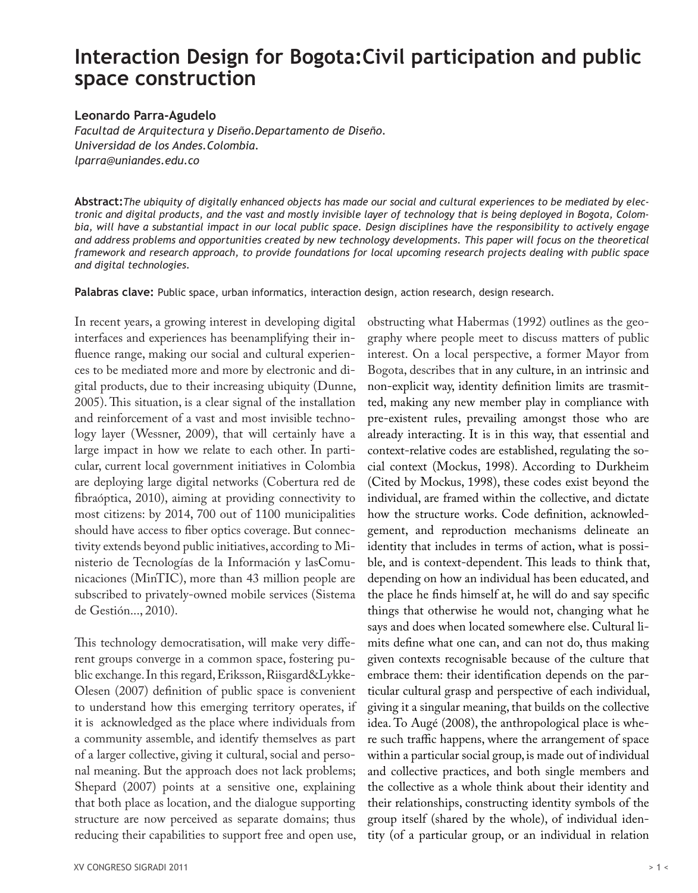# **Interaction Design for Bogota:Civil participation and public space construction**

#### **Leonardo Parra-Agudelo**

*Facultad de Arquitectura y Diseño.Departamento de Diseño. Universidad de los Andes.Colombia. lparra@uniandes.edu.co*

**Abstract:***The ubiquity of digitally enhanced objects has made our social and cultural experiences to be mediated by electronic and digital products, and the vast and mostly invisible layer of technology that is being deployed in Bogota, Colombia, will have a substantial impact in our local public space. Design disciplines have the responsibility to actively engage and address problems and opportunities created by new technology developments. This paper will focus on the theoretical framework and research approach, to provide foundations for local upcoming research projects dealing with public space and digital technologies.* 

**Palabras clave:** Public space, urban informatics, interaction design, action research, design research.

In recent years, a growing interest in developing digital interfaces and experiences has beenamplifying their influence range, making our social and cultural experiences to be mediated more and more by electronic and digital products, due to their increasing ubiquity (Dunne, 2005). This situation, is a clear signal of the installation and reinforcement of a vast and most invisible technology layer (Wessner, 2009), that will certainly have a large impact in how we relate to each other. In particular, current local government initiatives in Colombia are deploying large digital networks (Cobertura red de fibraóptica, 2010), aiming at providing connectivity to most citizens: by 2014, 700 out of 1100 municipalities should have access to fiber optics coverage. But connectivity extends beyond public initiatives, according to Ministerio de Tecnologías de la Información y lasComunicaciones (MinTIC), more than 43 million people are subscribed to privately-owned mobile services (Sistema de Gestión..., 2010).

This technology democratisation, will make very different groups converge in a common space, fostering public exchange. In this regard, Eriksson, Riisgard&Lykke-Olesen (2007) definition of public space is convenient to understand how this emerging territory operates, if it is acknowledged as the place where individuals from a community assemble, and identify themselves as part of a larger collective, giving it cultural, social and personal meaning. But the approach does not lack problems; Shepard (2007) points at a sensitive one, explaining that both place as location, and the dialogue supporting structure are now perceived as separate domains; thus reducing their capabilities to support free and open use,

Bogota, describes that in any culture, in an intrinsic and non-explicit way, identity definition limits are trasmitted, making any new member play in compliance with pre-existent rules, prevailing amongst those who are already interacting. It is in this way, that essential and context-relative codes are established, regulating the social context (Mockus, 1998). According to Durkheim (Cited by Mockus, 1998), these codes exist beyond the individual, are framed within the collective, and dictate how the structure works. Code definition, acknowledgement, and reproduction mechanisms delineate an identity that includes in terms of action, what is possible, and is context-dependent. This leads to think that, depending on how an individual has been educated, and the place he finds himself at, he will do and say specific things that otherwise he would not, changing what he says and does when located somewhere else. Cultural limits define what one can, and can not do, thus making given contexts recognisable because of the culture that embrace them: their identification depends on the particular cultural grasp and perspective of each individual, giving it a singular meaning, that builds on the collective idea. To Augé (2008), the anthropological place is where such traffic happens, where the arrangement of space within a particular social group, is made out of individual and collective practices, and both single members and the collective as a whole think about their identity and their relationships, constructing identity symbols of the group itself (shared by the whole), of individual identity (of a particular group, or an individual in relation

obstructing what Habermas (1992) outlines as the geography where people meet to discuss matters of public interest. On a local perspective, a former Mayor from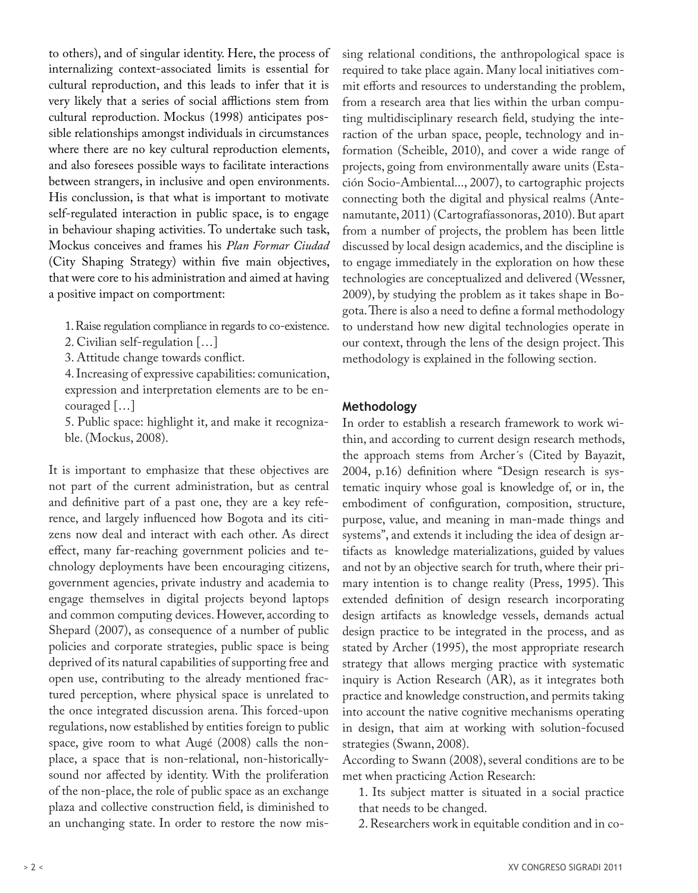to others), and of singular identity. Here, the process of internalizing context-associated limits is essential for cultural reproduction, and this leads to infer that it is very likely that a series of social afflictions stem from cultural reproduction. Mockus (1998) anticipates possible relationships amongst individuals in circumstances where there are no key cultural reproduction elements, and also foresees possible ways to facilitate interactions between strangers, in inclusive and open environments. His conclussion, is that what is important to motivate self-regulated interaction in public space, is to engage in behaviour shaping activities. To undertake such task, Mockus conceives and frames his *Plan Formar Ciudad*  (City Shaping Strategy) within five main objectives, that were core to his administration and aimed at having a positive impact on comportment:

- 1. Raise regulation compliance in regards to co-existence.
- 2. Civilian self-regulation […]
- 3. Attitude change towards conflict.

4. Increasing of expressive capabilities: comunication, expression and interpretation elements are to be encouraged […]

5. Public space: highlight it, and make it recognizable. (Mockus, 2008).

It is important to emphasize that these objectives are not part of the current administration, but as central and definitive part of a past one, they are a key reference, and largely influenced how Bogota and its citizens now deal and interact with each other. As direct effect, many far-reaching government policies and technology deployments have been encouraging citizens, government agencies, private industry and academia to engage themselves in digital projects beyond laptops and common computing devices. However, according to Shepard (2007), as consequence of a number of public policies and corporate strategies, public space is being deprived of its natural capabilities of supporting free and open use, contributing to the already mentioned fractured perception, where physical space is unrelated to the once integrated discussion arena. This forced-upon regulations, now established by entities foreign to public space, give room to what Augé (2008) calls the nonplace, a space that is non-relational, non-historicallysound nor affected by identity. With the proliferation of the non-place, the role of public space as an exchange plaza and collective construction field, is diminished to an unchanging state. In order to restore the now missing relational conditions, the anthropological space is required to take place again. Many local initiatives commit efforts and resources to understanding the problem, from a research area that lies within the urban computing multidisciplinary research field, studying the interaction of the urban space, people, technology and information (Scheible, 2010), and cover a wide range of projects, going from environmentally aware units (Estación Socio-Ambiental..., 2007), to cartographic projects connecting both the digital and physical realms (Antenamutante, 2011) (Cartografíassonoras, 2010). But apart from a number of projects, the problem has been little discussed by local design academics, and the discipline is to engage immediately in the exploration on how these technologies are conceptualized and delivered (Wessner, 2009), by studying the problem as it takes shape in Bogota. There is also a need to define a formal methodology to understand how new digital technologies operate in our context, through the lens of the design project. This methodology is explained in the following section.

#### **Methodology**

In order to establish a research framework to work within, and according to current design research methods, the approach stems from Archer´s (Cited by Bayazit, 2004, p.16) definition where "Design research is systematic inquiry whose goal is knowledge of, or in, the embodiment of configuration, composition, structure, purpose, value, and meaning in man-made things and systems", and extends it including the idea of design artifacts as knowledge materializations, guided by values and not by an objective search for truth, where their primary intention is to change reality (Press, 1995). This extended definition of design research incorporating design artifacts as knowledge vessels, demands actual design practice to be integrated in the process, and as stated by Archer (1995), the most appropriate research strategy that allows merging practice with systematic inquiry is Action Research (AR), as it integrates both practice and knowledge construction, and permits taking into account the native cognitive mechanisms operating in design, that aim at working with solution-focused strategies (Swann, 2008).

According to Swann (2008), several conditions are to be met when practicing Action Research:

1. Its subject matter is situated in a social practice that needs to be changed.

2. Researchers work in equitable condition and in co-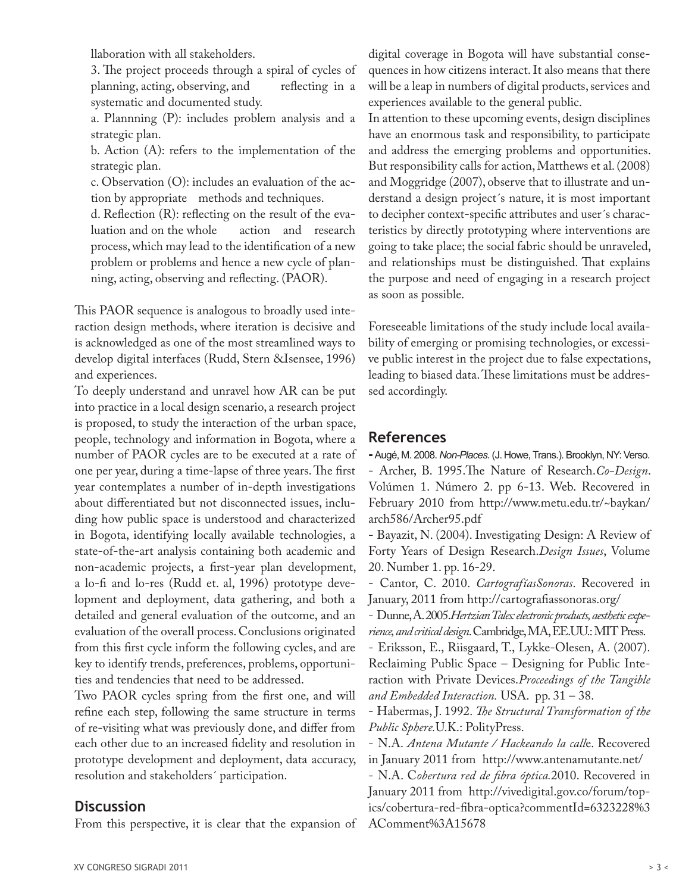llaboration with all stakeholders.

3. The project proceeds through a spiral of cycles of planning, acting, observing, and reflecting in a systematic and documented study.

a. Plannning (P): includes problem analysis and a strategic plan.

b. Action (A): refers to the implementation of the strategic plan.

c. Observation (O): includes an evaluation of the action by appropriate methods and techniques.

d. Reflection (R): reflecting on the result of the evaluation and on the whole action and research process, which may lead to the identification of a new problem or problems and hence a new cycle of planning, acting, observing and reflecting. (PAOR).

This PAOR sequence is analogous to broadly used interaction design methods, where iteration is decisive and is acknowledged as one of the most streamlined ways to develop digital interfaces (Rudd, Stern &Isensee, 1996) and experiences.

To deeply understand and unravel how AR can be put into practice in a local design scenario, a research project is proposed, to study the interaction of the urban space, people, technology and information in Bogota, where a number of PAOR cycles are to be executed at a rate of one per year, during a time-lapse of three years. The first year contemplates a number of in-depth investigations about differentiated but not disconnected issues, including how public space is understood and characterized in Bogota, identifying locally available technologies, a state-of-the-art analysis containing both academic and non-academic projects, a first-year plan development, a lo-fi and lo-res (Rudd et. al, 1996) prototype development and deployment, data gathering, and both a detailed and general evaluation of the outcome, and an evaluation of the overall process. Conclusions originated from this first cycle inform the following cycles, and are key to identify trends, preferences, problems, opportunities and tendencies that need to be addressed.

Two PAOR cycles spring from the first one, and will refine each step, following the same structure in terms of re-visiting what was previously done, and differ from each other due to an increased fidelity and resolution in prototype development and deployment, data accuracy, resolution and stakeholders´ participation.

### **Discussion**

From this perspective, it is clear that the expansion of

digital coverage in Bogota will have substantial consequences in how citizens interact. It also means that there will be a leap in numbers of digital products, services and experiences available to the general public.

In attention to these upcoming events, design disciplines have an enormous task and responsibility, to participate and address the emerging problems and opportunities. But responsibility calls for action, Matthews et al. (2008) and Moggridge (2007), observe that to illustrate and understand a design project´s nature, it is most important to decipher context-specific attributes and user´s characteristics by directly prototyping where interventions are going to take place; the social fabric should be unraveled, and relationships must be distinguished. That explains the purpose and need of engaging in a research project as soon as possible.

Foreseeable limitations of the study include local availability of emerging or promising technologies, or excessive public interest in the project due to false expectations, leading to biased data. These limitations must be addressed accordingly.

## **References**

**-** Augé, M. 2008. *Non-Places*. (J. Howe, Trans.). Brooklyn, NY: Verso. - Archer, B. 1995.The Nature of Research.*Co-Design*. Volúmen 1. Número 2. pp 6-13. Web. Recovered in February 2010 from http://www.metu.edu.tr/~baykan/ arch586/Archer95.pdf

- Bayazit, N. (2004). Investigating Design: A Review of Forty Years of Design Research.*Design Issues*, Volume 20. Number 1. pp. 16-29.

- Cantor, C. 2010. *CartografíasSonoras*. Recovered in January, 2011 from http://cartografiassonoras.org/

- Dunne, A. 2005.*Hertzian Tales: electronic products, aesthetic experience, and critical design*. Cambridge, MA, EE.UU.: MIT Press. - Eriksson, E., Riisgaard, T., Lykke-Olesen, A. (2007).

Reclaiming Public Space – Designing for Public Interaction with Private Devices.*Proceedings of the Tangible and Embedded Interaction.* USA. pp. 31 – 38.

- Habermas, J. 1992. *The Structural Transformation of the Public Sphere.*U.K.: PolityPress.

- N.A. *Antena Mutante / Hackeando la call*e. Recovered in January 2011 from http://www.antenamutante.net/

- N.A. C*obertura red de fibra óptica.*2010. Recovered in January 2011 from http://vivedigital.gov.co/forum/topics/cobertura-red-fibra-optica?commentId=6323228%3 AComment%3A15678